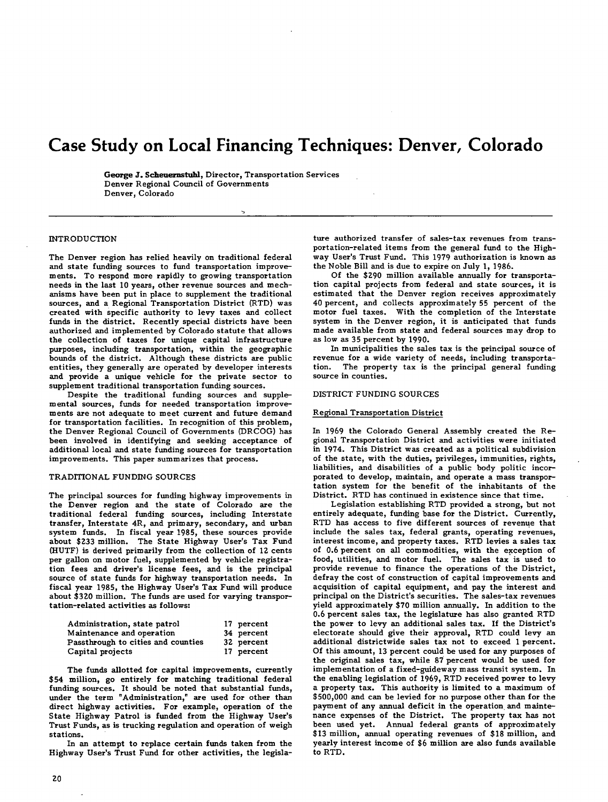# **Case Study on Local Financing Techniques: Denver, Colorado**

**George J. Scheuernstuhl,** Director, Transportation Services Denver Regional Council of Governments Denver, Colorado

## **INTRODUCTION**

The Denver region has relied heavily on traditional federal and state funding sources to fund transportation improvements. To respond more rapidly to growing transportation needs in the last 10 years, other revenue sources and mechanisms have been put in place to supplement the traditional sources, and a Regional Transportation District (RTD) was created with specific authority to levy taxes and collect funds in the district. Recently special districts have been authorized and implemented by Colorado statute that allows the collection of taxes for unique capital infrastructure purposes, including transportation, within the geographic bounds of the district. Although these districts are public entities, they generally are operated by developer interests and provide a unique vehicle for the private sector to supplement traditional transportation funding sources.

Despite the traditional funding sources and supple-Despite the traditional funding sources and supple-<br>mental sources, funds for needed transportation improvements ments are not adequate to meet current and future demand for transportation facilities. In recognition of this problem, the Denver Regional Council of Governments (DRCOG) has been involved in identifying and seeking acceptance of additional local and state funding sources for transportation improvements. This paper summarizes that process.

# TRADITIONAL FUNDING SOURCES

The principal sources for funding highway improvements in the Denver region and the state of Colorado are the traditional federal funding sources, including Interstate transfer, Interstate 4R, and primary, secondary, and urban system funds. In fiscal year 1985, these sources provide about \$233 million. The State Highway User's Tax Fund (HUTF) is derived primarily from the collection of 12 cents per gallon on motor fuel, supplemented by vehicle registration fees and driver's license fees, and is the principal source of state funds for highway transportation needs. In fiscal year 1985, the Highway User's Tax Fund will produce about \$320 million. The funds are used for varying transportation-related activities as follows:

| Administration, state patrol       | 17 percent |
|------------------------------------|------------|
| Maintenance and operation          | 34 percent |
| Passthrough to cities and counties | 32 percent |
| Capital projects                   | 17 percent |

The funds allotted for capital improvements, currently \$54 million, go entirely for matching traditional federal funding sources. It should be noted that substantial funds, under the term "Administration," are used for other than direct highway activities. For example, operation of the State Highway Patrol is funded from the Highway User's Trust Funds, as is trucking regulation and operation of weigh stations.

In an attempt to replace certain funds taken from the Highway User's Trust Fund for other activities, the legisla-

ture authorized transfer of sales-tax revenues from transportation-related items from the general fund to the Highway User's Trust Fund. This 1979 authorization is known as the Noble Bill and is due to expire on July 1, 1986.

Of the \$290 million available annually for transportation capital projects from federal and state sources, it is estimated that the Denver region receives approximately 40 percent, and collects approximately 55 percent of the motor fuel taxes. With the completion of the Interstate system in the Denver region, it is anticipated that funds made available from state and federal sources may drop to as low as 35 percent by 1990.

In municipalities the sales tax is the principal source of revenue for a wide variety of needs, including transportation. The property tax is the principal general funding source in counties.

#### DISTRICT FUNDING SOURCES

## Regional Transportation District

In 1969 the Colorado General Assembly created the Regional gional Transportation District and activities were initiated in 1974. This District was created as a political subdivision of the state, with the duties, privileges, immunities, rights, liabilities, and disabilities of a public body politic incorliabilities, and disabilities of a public body politic incorporated to develop, maintain, and operate a mass transportation tation system for the benefit of the inhabitants of the District. RTD has continued in existence since that time.

Legislation establishing RTD provided a strong, but not entirely adequate, funding base for the District. Currently, RTD has access to five different sources of revenue that include the sales tax, federal grants, operating revenues, interest income, and property taxes. RTD levies a sales tax of 0.6 percent on all commodities, with the exception of food, utilities, and motor fuel. The sales tax is used to provide revenue to finance the operations of the District, defray the cost of construction of capital improvements and acquisition of capital equipment, and pay the interest and principal on the District's securities. The sales-tax revenues yield approximately \$70 million annually. In addition to the 0.6 percent sales tax, the legislature has also granted RTD the power to levy an additional sales tax. If the District's electorate should give their approval, RTD could levy an additional districtwide sales tax not to exceed 1 percent. Of this amount, 13 percent could be used for any purposes of the original sales tax, while 87 percent would be used for implementation of a fixed-guideway mass transit system. In the enabling legislation of 1969, RTD received power to levy a property tax. This authority is limited to a maximum of \$500,000 and can be levied for no purpose other than for the payment of any annual deficit in the operation and maintenance expenses of the District. The property tax has not been used yet. Annual federal grants of approximately \$13 million, annual operating revenues of \$18 million, and yearly interest income of \$6 million are also funds available to RTD.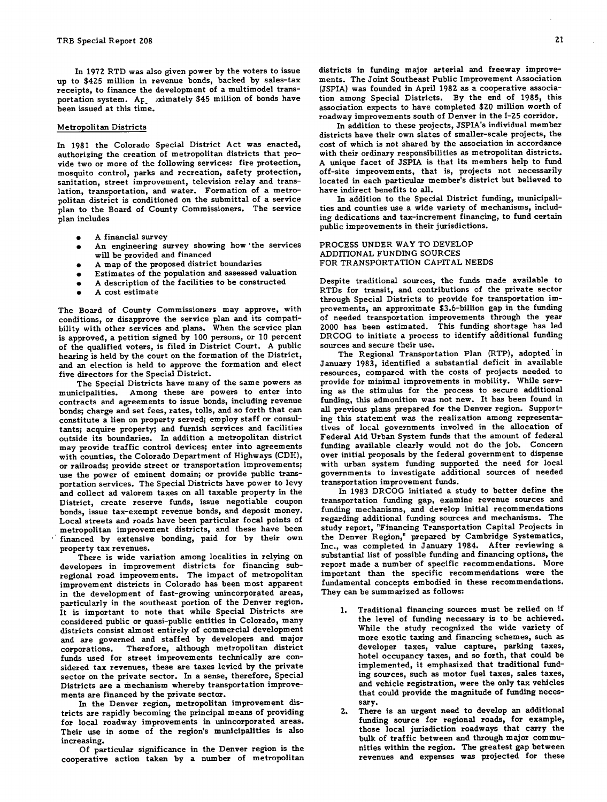In 1972 RTD was also given power by the voters to issue up to \$425 million in revenue bonds, backed by sales-tax receipts, to finance the development of a multimodel transportation system. Ap ximately \$45 million of bonds have been issued at this time.

#### Metropolitan Districts

In 1981 the Colorado Special District Act was enacted, authorizing the creation of metropolitan districts that provide two or more of the following services: fire protection, mosquito control, parks and recreation, safety protection, sanitation, street improvement, television relay and translation, transportation, and water. Formation of a metropolitan district is conditioned on the submittal of a service plan to the Board of County Commissioners. The service plan includes

- A financial survey
- $\bullet$ An engineering survey showing how the services will be provided and financed
- A map of the proposed district boundaries
- Estimates of the population and assessed valuation
- A description of the facilities to be constructed
- A cost estimate

The Board of County Commissioners may approve, with conditions, or disapprove the service plan and its compatibility with other services and plans. When the service plan is approved, a petition signed by 100 persons, or 10 percent of the qualified voters, is filed in District Court. A public hearing is held by the court on the formation of the District, and an election is held to approve the formation and elect five directors for the Special District.

The Special Districts have many of the same powers as municipalities. Among these are powers to enter into contracts and agreements to issue bonds, including revenue bonds; charge and set fees, rates, tolls, and so forth that can constitute a lien on property served; employ staff or consultants; acquire property; and furnish services and facilities outside its boundaries. In addition a metropolitan district may provide traffic control devices; enter into agreements with counties, the Colorado Department of Highways (CDH), or railroads; provide street or transportation improvements; use the power of eminent domain; or provide public transportation services. The Special Districts have power to levy and collect ad valorem taxes on all taxable property in the District, create reserve funds, issue negotiable coupon bonds, issue tax-exempt revenue bonds, and deposit money. Local streets and roads have been particular focal points of metropolitan improvement districts, and these have been financed by extensive bonding, paid for by their own property tax revenues.

There is wide variation among localities in relying on developers in improvement districts for financing subregional road improvements. The impact of metropolitan improvement districts in Colorado has been most apparent in the development of fast-growing unincorporated areas, particularly in the southeast portion of the Denver region. It is important to note that while Special Districts are considered public or quasi-public entities in Colorado, many districts consist almost entirely of commercial development and are governed and staffed by developers and major corporations. Therefore, although metropolitan district funds used for street improvements technically are considered tax revenues, these are taxes levied by the private sector on the private sector. In a sense, therefore, Special Districts are a mechanism whereby transportation improvements are financed by the private sector.

In the Denver region, metropolitan improvement districts are rapidly becoming the principal means of providing for local roadway improvements in unincorporated areas. Their use in some of the region's municipalities is also increasing.

Of particular significance in the Denver region is the cooperative action taken by a number of metropolitan

districts in funding major arterial and freeway improvements. ments. The Joint Southeast Public Improvement Association (JSPIA) was founded in April 1982 as a cooperative association among Special Districts. By the end of 1985, this association expects to have completed \$20 million worth of roadway improvements south of Denver in the 1-25 corridor.

In addition to these projects, JSPIA's individual member districts have their own slates of smaller-scale projects, the cost of which is not shared by the association in accordance with their ordinary responsibilities as metropolitan districts. A unique facet of JSPIA is that its members help to fund off-site improvements, that is, projects not necessarily located in each particular member's district but believed to have indirect benefits to all.

In addition to the Special District funding, municipalities and counties use a wide variety of mechanisms, including dedications and tax-increment financing, to fund certain public improvements in their jurisdictions.

#### PROCESS UNDER WAY TO DEVELOP ADDITIONAL FUNDING SOURCES FOR TRANSPORTATION CAPITAL NEEDS

Despite traditional sources, the funds made available to RTDs for transit, and contributions of the private sector through Special Districts to provide for transportation improvements, an approximate \$3.6-billion gap in the funding of needed transportation improvements through the year 2000 has been estimated. This funding shortage has led DRCOG to initiate a process to identify additional funding sources and secure their use.

The Regional Transportation Plan (RTP), adopted in January 1983, identified a substantial deficit in available resources, compared with the costs of projects needed to provide for minimal improvements in mobility. While serving as the stimulus for the process to secure additional funding, this admonition was not new. It has been found in all previous plans prepared for the Denver region. Supporting this statement was the realization among representatives of local governments involved in the allocation of Federal Aid Urban System funds that the amount of federal funding available clearly would not do the job. Concern over initial proposals by the federal government to dispense with urban system funding supported the need for local governments to investigate additional sources of needed transportation improvement funds.

In 1983 DRCOG initiated a study to better define the transportation funding gap, examine revenue sources and funding mechanisms, and develop initial recommendations regarding additional funding sources and mechanisms. The study report, 'Financing Transportation Capital Projects in the Denver Region,' prepared by Cambridge Systematics, Inc., was completed in January 1984. After reviewing a substantial list of possible funding and financing options, the report made a number of specific recommendations. More important than the specific recommendations were the fundamental concepts embodied in these recommendations. They can be summarized as follows:

- Traditional financing sources must be relied on if 1. the level of funding necessary is to be achieved. While the study recognized the wide variety of more exotic taxing and financing schemes, such as developer taxes, value capture, parking taxes, hotel occupancy taxes, and so forth, that could be implemented, it emphasized that traditional funding sources, such as motor fuel taxes, sales taxes, and vehicle registration, were the only tax vehicles that could provide the magnitude of funding necessary.
- There is an urgent need to develop an additional  $2.$ funding source for regional roads, for example, those local jurisdiction roadways that carry the bulk of traffic between and through major communities within the region. The greatest gap between revenues and expenses was projected for these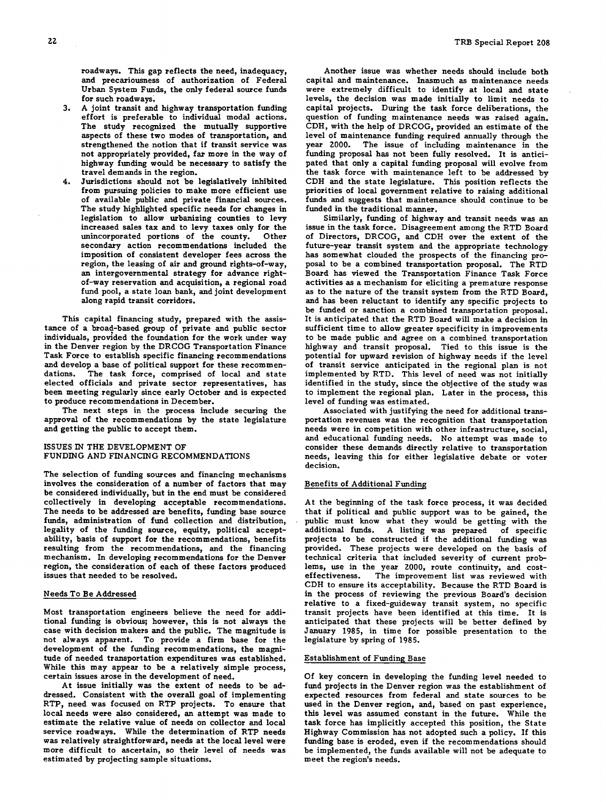roadways. This gap reflects the need, inadequacy, and precariousness of authorization of Federal Urban System Funds, the only federal source funds for such roadways

- A joint transit and *highway* transportation funding  $3.1$ effort is preferable to individual modal actions. The study recognized the mutually supportive aspects of these two modes of transportation, and strengthened the notion that if transit service was not appropriately provided, far more in the way of highway funding would be necessary to satisfy the travel demands in the region.
- Jurisdictions should not be legislatively inhibited from pursuing policies to make more efficient use of available public and private financial sources. The study highlighted specific needs for changes in legislation to allow urbanizing counties to levy increased sales tax and to levy taxes only for the unincorporated portions of the county. secondary action recommendations included the imposition of consistent developer fees across the region, the leasing of air and ground rights-of-way, an intergovernmental strategy for advance rightof-way reservation and acquisition, a regional road fund pool, a state loan bank, and joint development along rapid transit corridors.

This capital financing study, prepared with the assistance of a broad-based group of private and public sector individuals, provided the foundation for the work under way in the Denver region by the DRCOG Transportation Finance Task Force to establish specific financing recommendations and develop a base of political support for these recommen-<br>dations. The task force, comprised of local and state The task force, comprised of local and state elected officials and private sector representatives, has been meeting regularly since early October and is expected to produce recommendations in December.

The next steps in the process include securing the approval of the recommendations by the state legislature and getting the public to accept them.

### ISSUES IN THE DEVELOPMENT OF FUNDING AND FINANCING RECOMMENDATIONS

The selection of funding sources and financing mechanisms involves the consideration of a number of factors that may be considered individually, but in the end must be considered collectively in developing acceptable recommendations. The needs to be addressed are benefits, funding base source funds, administration of fund collection and distribution, legality of the funding source, equity, political acceptability, basis of support for the recommendations, benefits resulting from the recommendations, and the financing mechanism. In developing recommendations for the Denver region, the consideration of each of these factors produced issues that needed to be resolved.

# Needs To Be Addressed

Most transportation engineers believe the need for additional funding is obvious; however, this is not always the case with decision makers and the public. The magnitude is not always apparent. To provide a firm base for the development of the funding recommendations, the magnitude of needed transportation expenditures was established. While this may appear to be a relatively simple process, certain issues arose in the development of need.

At issue initially was the extent of needs to be addressed. Consistent with the overall goal of implementing RTP, need was focused on RTP projects. To ensure that local needs were also considered, an attempt was made to estimate the relative value of needs on collector and local service roadways. While the determination of RTP needs was relatively straightforward, needs at the local level were more difficult to ascertain, so their level of needs was estimated by projecting sample situations.

Another issue was whether needs should include both capital and maintenance. Inasmuch as maintenance needs were extremely difficult to identify at local and state levels, the decision was made initially to limit needs to capital projects. During the task force deliberations, the question of funding maintenance needs was raised again. CDH, with the help of DRCOG, provided an estimate of the level of maintenance funding required annually through the year 2000. The issue of including maintenance in the The issue of including maintenance in the funding proposal has not been fully resolved. It is anticipated that only a capital funding proposal will evolve from the task force with maintenance left to be addressed by CDH and the state legislature. This position reflects the priorities of local government relative to raising additional funds and suggests that maintenance should continue to be funded in the traditional manner.

Similarly, funding of highway and transit needs was an issue in the task force. Disagreement among the RTD Board of Directors, DRCOG, and CDH over the extent of the future-year transit system and the appropriate technology has somewhat clouded the prospects of the financing proposal to be a combined transportation proposal. The RTD Board has viewed the Transportation Finance Task Force activities as a mechanism for eliciting a premature response as to the nature of the transit system from the RTD Board, and has been reluctant to identify any specific projects to be funded or sanction a combined transportation proposal. It is anticipated that the RTD Board will make a decision in sufficient time to allow greater specificity in improvements to be made public and agree on a combined transportation highway and transit proposal. Tied to this issue is the potential for upward revision of highway needs if the level of transit service anticipated in the regional plan is not implemented by RTD. This level of need was not initially identified in the study, since the objective of the study was to implement the regional plan. Later in the process, this level of funding was estimated.

Associated with justifying the need for additional transportation revenues was the recognition that transportation needs were in competition with other infrastructure, social, and educational funding needs. No attempt was made to consider these demands directly relative to transportation needs, leaving this for either legislative debate or voter decision.

# Benefits of Additional Funding

At the beginning of the task force process, it was decided that if political and public support was to be gained, the public must know what they would be getting with the additional funds. A listing was prepared of specific projects to be constructed if the additional funding was provided. These projects were developed on the basis of technical criteria that included severity of current problems, use in the year 2000, route continuity, and costeffectiveness. The improvement list was reviewed with CDH to ensure its acceptability. Because the RTD Board is in the process of reviewing the previous Board's decision relative to a fixed-guideway transit system, no specific transit projects have been identified at this time. It is anticipated that these projects will be better defined by January 1985, in time for possible presentation to the legislature by spring of 1985.

### Establishment of Funding Base

Of key concern in developing the funding level needed to fund projects in the Denver region was the establishment of expected resources from federal and state sources to be used in the Denver region, and, based on past experience, this level was assumed constant in the future. While the task force has implicitly accepted this position, the State Highway Commission has not adopted such a policy. If this funding base is eroded, even if the recommendations should be implemented, the funds available will not be adequate to meet the region's needs.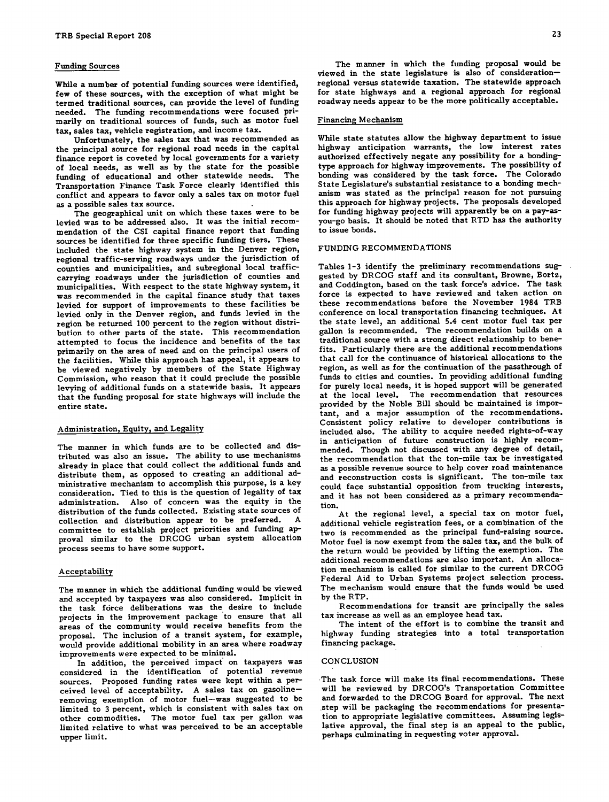#### Funding Sources

While a number of potential funding sources were identified, few of these sources, with the exception of what might be termed traditional sources, can provide the level of funding needed. The funding recommendations were focused primarily on traditional sources of funds, such as motor fuel tax, sales tax, vehicle registration, and income tax.

Unfortunately, the sales tax that was recommended as the principal source for regional road needs in the capital finance report is coveted by local governments for a variety of local needs, as well as by the state for the possible funding of educational and other statewide needs. The Transportation Finance Task Force clearly identified this conflict and appears to favor only a sales tax on motor fuel as a possible sales tax source.

The geographical unit on which these taxes were to be levied was to be addressed also. It was the initial recommendation of the CSI capital finance report that funding sources be identified for three specific funding tiers. These included the state highway system in the Denver region, regional traffic-serving roadways under the jurisdiction of counties and municipalities, and subregional local trafficcarrying roadways under the jurisdiction of counties and municipalities. With respect to the state highway system, it was recommended in the capital finance study that taxes levied for support of improvements to these facilities be levied only in the Denver region, and funds levied in the region be returned 100 percent to the region without distribution to other parts of the state. This recommendation attempted to focus the incidence and benefits of the tax primarily on the area of need and on the principal users of the facilities. While this approach has appeal, it appears to be viewed negatively by members of the State Highway Commission, who reason that it could preclude the possible levying of additional funds on a statewide basis. It appears that the funding proposal for state highways will include the

#### Administration, Equity, and Legality

The manner in which funds are to be collected and distributed was also an issue. The ability to use mechanisms already in place that could collect the additional funds and distribute them, as opposed to creating an additional administrative mechanism to accomplish this purpose, is a key consideration. Tied to this is the question of legality of tax administration. Also of concern was the equity in the distribution of the funds collected. Existing state sources of collection and distribution annear to be preferred. A collection and distribution appear to be preferred. committee to establish project priorities and funding approval similar to the DRCOG urban system allocation process seems to have some support.

#### Acceptability

The manner in which the additional funding would be viewed and accepted by taxpayers was also considered. Implicit in the task force deliberations was the desire to include projects in the improvement package to ensure that all areas of the community would receive benefits from the proposal. The inclusion of a transit system, for example, would provide additional mobility in an area where roadway improvements were expected to be minimal.

In addition, the perceived impact on taxpayers was considered in the identification of potential revenue sources. Proposed funding rates were kept within a perceived level of acceptability. A sales tax on gasoline removing exemption of motor fuel—was suggested to be limited to 3 percent, which is consistent with sales tax on other commodities. The motor fuel tax per gallon was limited relative to what was perceived to be an acceptable upper limit.

The manner in which the funding proposal would be viewed in the state legislature is also of consideration regional versus statewide taxation. The statewide approach for state highways and a regional approach for regional roadway needs appear to be the more politically acceptable.

#### Financing Mechanism

While state statutes allow the highway department to issue highway anticipation warrants, the low interest rates authorized effectively negate any possibility for a bondingtype approach for highway improvements. The possibility of bonding was considered by the task force. The Colorado State Legislature's substantial resistance to a bonding mechanism was stated as the principal reason for not pursuing this approach for highway projects. The proposals developed for funding highway projects will apparently be on a pay-asyou-go basis. It should be noted that RTD has the authority to issue bonds.

#### FUNDING RECOMMENDATIONS

entire state.<br>
entire state. Tables 1-3 identify the preliminary recommendations suggested by DRCOG staff and its consultant, Browne, Bortz, and Coddington, based on the task force's advice. The task force is expected to have reviewed and taken action on these recommendations before the November 1984 TRB conference on local transportation financing techniques. At the state level, an additional 5.4 cent motor fuel tax per gallon is recommended. The recommendation builds on a traditional source with a strong direct relationship to benefits. Particularly there are the additional recommendations that call for the continuance of historical allocations to the region, as well as for the continuation of the passthrough of funds to cities and counties. In providing additional funding for purely local needs, it is hoped support will be generated at the local level. The recommendation that resources tant, and a major assumption of the recommendations. Consistent policy relative to developer contributions is included also. The ability to acquire needed rights-of-way in anticipation of future construction is highly recommended. Though not discussed with any degree of detail, the recommendation that the ton-mile tax be investigated as a possible revenue source to help cover road maintenance and reconstruction costs is significant. The ton-mile tax could face substantial opposition from trucking interests, and it has not been considered as a primary recommendation.

> At the regional level, a special tax on motor fuel, additional vehicle registration fees, or a combination of the two is recommended as the principal fund-raising source. Motor fuel is now exempt from the sales tax, and the bulk of the return would be provided by lifting the exemption. The additional recommendations are also important. An allocation mechanism is called for similar to the current DRCOG Federal Aid to Urban Systems project selection process. The mechanism would ensure that the funds would be used by the RTP.

> Recommendations for transit are principally the sales tax increase as well as an employee head tax.

> The intent of the effort is to combine the transit and highway funding strategies into a total transportation financing package.

#### CONCLUSION

The task force will make its final recommendations. These will be reviewed by DRCOG's Transportation Committee and forwarded to the DRCOG Board for approval. The next step will be packaging the recommendations for presentation to appropriate legislative committees. Assuming legislative approval, the final step is an appeal to the public, perhaps culminating in requesting voter approval.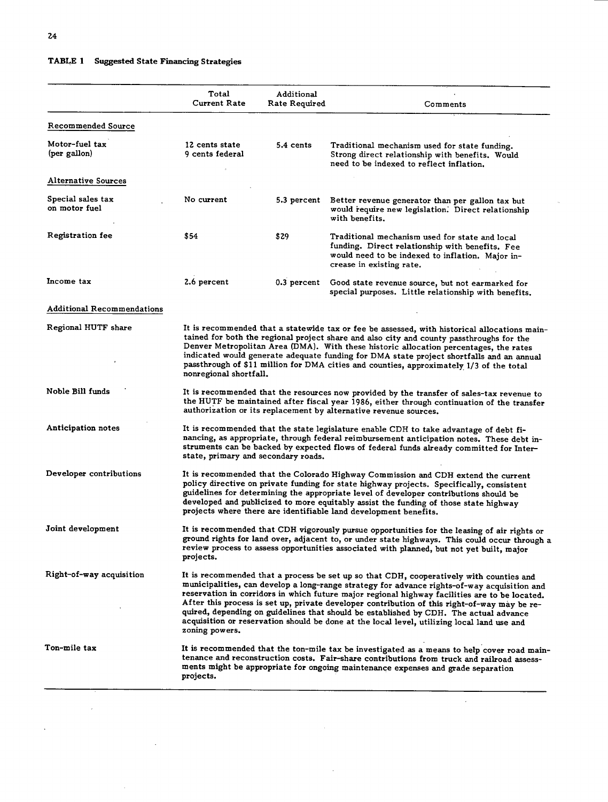$\label{eq:2} \frac{1}{\sqrt{2}}\left(\frac{1}{\sqrt{2}}\right)^{2} \left(\frac{1}{\sqrt{2}}\right)^{2}$ 

 $\hat{\mathcal{A}}$ 

 $\hat{\mathcal{A}}$ 

 $\mathcal{L}^{\pm}$ 

# **TABLE 1 Suggested State Financing Strategies**

|                                    | Total<br><b>Current Rate</b>                                                                                                                                                                                                                                                                                                                                                                                                                                                                                                                                                                     | Additional<br>Rate Required | Comments                                                                                                                                                                          |
|------------------------------------|--------------------------------------------------------------------------------------------------------------------------------------------------------------------------------------------------------------------------------------------------------------------------------------------------------------------------------------------------------------------------------------------------------------------------------------------------------------------------------------------------------------------------------------------------------------------------------------------------|-----------------------------|-----------------------------------------------------------------------------------------------------------------------------------------------------------------------------------|
| <b>Recommended Source</b>          |                                                                                                                                                                                                                                                                                                                                                                                                                                                                                                                                                                                                  |                             |                                                                                                                                                                                   |
| Motor-fuel tax<br>(per gallon)     | 12 cents state<br>9 cents federal                                                                                                                                                                                                                                                                                                                                                                                                                                                                                                                                                                | 5.4 cents                   | Traditional mechanism used for state funding.<br>Strong direct relationship with benefits. Would<br>need to be indexed to reflect inflation.                                      |
| Alternative Sources                |                                                                                                                                                                                                                                                                                                                                                                                                                                                                                                                                                                                                  |                             |                                                                                                                                                                                   |
| Special sales tax<br>on motor fuel | No current                                                                                                                                                                                                                                                                                                                                                                                                                                                                                                                                                                                       | 5.3 percent                 | Better revenue generator than per gallon tax but<br>would require new legislation. Direct relationship<br>with benefits.                                                          |
| Registration fee                   | \$54                                                                                                                                                                                                                                                                                                                                                                                                                                                                                                                                                                                             | \$29                        | Traditional mechanism used for state and local<br>funding. Direct relationship with benefits. Fee<br>would need to be indexed to inflation. Major in-<br>crease in existing rate. |
| Income tax                         | 2.6 percent                                                                                                                                                                                                                                                                                                                                                                                                                                                                                                                                                                                      | 0.3 percent                 | Good state revenue source, but not earmarked for<br>special purposes. Little relationship with benefits.                                                                          |
| <b>Additional Recommendations</b>  |                                                                                                                                                                                                                                                                                                                                                                                                                                                                                                                                                                                                  |                             |                                                                                                                                                                                   |
| Regional HUTF share                | It is recommended that a statewide tax or fee be assessed, with historical allocations main-<br>tained for both the regional project share and also city and county passthroughs for the<br>Denver Metropolitan Area (DMA). With these historic allocation percentages, the rates<br>indicated would generate adequate funding for DMA state project shortfalls and an annual<br>passthrough of \$11 million for DMA cities and counties, approximately 1/3 of the total<br>nonregional shortfall.                                                                                               |                             |                                                                                                                                                                                   |
| Noble Bill funds                   | It is recommended that the resources now provided by the transfer of sales-tax revenue to<br>the HUTF be maintained after fiscal year 1986, either through continuation of the transfer<br>authorization or its replacement by alternative revenue sources.                                                                                                                                                                                                                                                                                                                                      |                             |                                                                                                                                                                                   |
| Anticipation notes                 | It is recommended that the state legislature enable CDH to take advantage of debt fi-<br>nancing, as appropriate, through federal reimbursement anticipation notes. These debt in-<br>struments can be backed by expected flows of federal funds already committed for Inter-<br>state, primary and secondary roads.                                                                                                                                                                                                                                                                             |                             |                                                                                                                                                                                   |
| Developer contributions            | It is recommended that the Colorado Highway Commission and CDH extend the current<br>policy directive on private funding for state highway projects. Specifically, consistent<br>guidelines for determining the appropriate level of developer contributions should be<br>developed and publicized to more equitably assist the funding of those state highway<br>projects where there are identifiable land development benefits.                                                                                                                                                               |                             |                                                                                                                                                                                   |
| Joint development                  | It is recommended that CDH vigorously pursue opportunities for the leasing of air rights or<br>ground rights for land over, adjacent to, or under state highways. This could occur through a<br>review process to assess opportunities associated with planned, but not yet built, major<br>projects.                                                                                                                                                                                                                                                                                            |                             |                                                                                                                                                                                   |
| Right-of-way acquisition           | It is recommended that a process be set up so that CDH, cooperatively with counties and<br>municipalities, can develop a long-range strategy for advance rights-of-way acquisition and<br>reservation in corridors in which future major regional highway facilities are to be located.<br>After this process is set up, private developer contribution of this right-of-way may be re-<br>quired, depending on guidelines that should be established by CDH. The actual advance<br>acquisition or reservation should be done at the local level, utilizing local land use and<br>zoning powers. |                             |                                                                                                                                                                                   |
| Ton-mile tax                       | It is recommended that the ton-mile tax be investigated as a means to help cover road main-<br>tenance and reconstruction costs. Fair-share contributions from truck and railroad assess-<br>ments might be appropriate for ongoing maintenance expenses and grade separation<br>projects.                                                                                                                                                                                                                                                                                                       |                             |                                                                                                                                                                                   |

 $\bar{z}$ 

 $\bar{\omega}$ 

 $\hat{\mathcal{A}}$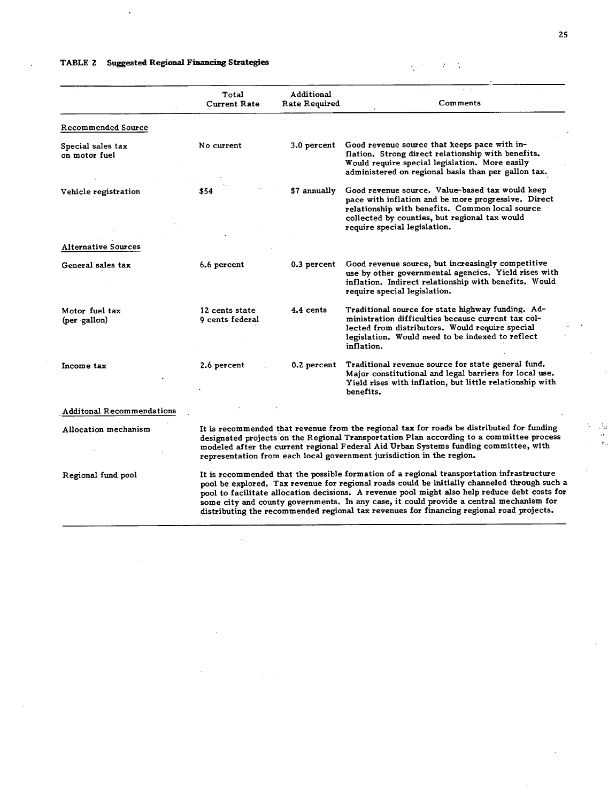# **TABLE 2 Suggested Regional Financing Strategies**

 $\hat{\textbf{z}}$ 

 $\ddot{\phantom{0}}$ 

 $\sim$ 

|                                    | Total<br>Current Rate                                                                                                                                                                                                                                                                                                                                                                                                                                                             | Additional<br>Rate Required | Comments                                                                                                                                                                                                                                   |
|------------------------------------|-----------------------------------------------------------------------------------------------------------------------------------------------------------------------------------------------------------------------------------------------------------------------------------------------------------------------------------------------------------------------------------------------------------------------------------------------------------------------------------|-----------------------------|--------------------------------------------------------------------------------------------------------------------------------------------------------------------------------------------------------------------------------------------|
| Recommended Source                 |                                                                                                                                                                                                                                                                                                                                                                                                                                                                                   |                             |                                                                                                                                                                                                                                            |
| Special sales tax<br>on motor fuel | No current                                                                                                                                                                                                                                                                                                                                                                                                                                                                        | 3.0 percent                 | Good revenue source that keeps pace with in-<br>flation. Strong direct relationship with benefits.<br>Would require special legislation. More easily<br>administered on regional basis than per gallon tax.                                |
| Vehicle registration               | \$54                                                                                                                                                                                                                                                                                                                                                                                                                                                                              | \$7 annually                | Good revenue source. Value-based tax would keep<br>pace with inflation and be more progressive. Direct<br>relationship with benefits. Common local source<br>collected by counties, but regional tax would<br>require special legislation. |
| <b>Alternative Sources</b>         |                                                                                                                                                                                                                                                                                                                                                                                                                                                                                   |                             |                                                                                                                                                                                                                                            |
| General sales tax                  | 6.6 percent                                                                                                                                                                                                                                                                                                                                                                                                                                                                       | 0.3 percent                 | Good revenue source, but increasingly competitive<br>use by other governmental agencies. Yield rises with<br>inflation. Indirect relationship with benefits. Would<br>require special legislation.                                         |
| Motor fuel tax<br>(per gallon)     | 12 cents state<br>9 cents federal                                                                                                                                                                                                                                                                                                                                                                                                                                                 | 4.4 cents                   | Traditional source for state highway funding. Ad-<br>ministration difficulties because current tax col-<br>lected from distributors. Would require special<br>legislation. Would need to be indexed to reflect<br>inflation.               |
| Income tax                         | 2.6 percent                                                                                                                                                                                                                                                                                                                                                                                                                                                                       | 0.2 percent                 | Traditional revenue source for state general fund.<br>Major constitutional and legal barriers for local use.<br>Yield rises with inflation, but little relationship with<br>benefits.                                                      |
| <b>Additonal Recommendations</b>   |                                                                                                                                                                                                                                                                                                                                                                                                                                                                                   |                             |                                                                                                                                                                                                                                            |
| Allocation mechanism               | It is recommended that revenue from the regional tax for roads be distributed for funding<br>designated projects on the Regional Transportation Plan according to a committee process<br>modeled after the current regional Federal Aid Urban Systems funding committee, with<br>representation from each local government jurisdiction in the region.                                                                                                                            |                             |                                                                                                                                                                                                                                            |
| Regional fund pool                 | It is recommended that the possible formation of a regional transportation infrastructure<br>pool be explored. Tax revenue for regional roads could be initially channeled through such a<br>pool to facilitate allocation decisions. A revenue pool might also help reduce debt costs for<br>some city and county governments. In any case, it could provide a central mechanism for<br>distributing the recommended regional tax revenues for financing regional road projects. |                             |                                                                                                                                                                                                                                            |

 $\bar{z}$ 

 $\mathbb{R}^{n \times n}$ 

 $\cdot$ 

 $\begin{array}{c} \mathbb{Z}^2\\ \mathbb{Z}\\ \mathbb{Z}\\ \mathbb{Z}^2\\ \mathbb{Z}^2\end{array}$  $\gamma$ 

 $\overline{a}$ 

 $\mathcal{L}(\mathcal{H})=\mathcal{L}(\mathcal{H})$